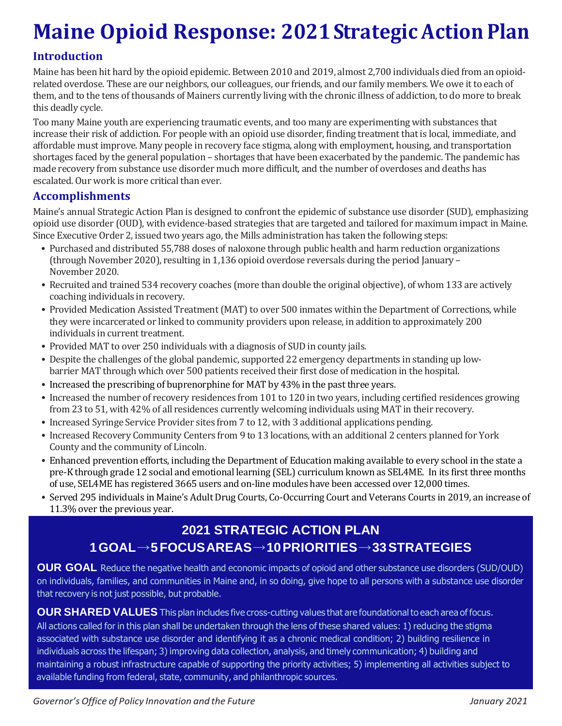# **Maine Opioid Response: 2021StrategicActionPlan**

#### **Introduction**

Maine has been hit hard by the opioid epidemic. Between 2010 and 2019, almost 2,700 individuals died from an opioidrelated overdose. These are our neighbors, our colleagues, our friends, and our family members. We owe it to each of them, and to the tens of thousands of Mainers currently living with the chronic illness of addiction, to do more to break this deadly cycle.

Too many Maine youth are experiencing traumatic events, and too many are experimenting with substances that increase their risk of addiction. For people with an opioid use disorder, finding treatment that is local, immediate, and affordable must improve. Many people in recovery face stigma, along with employment, housing, and transportation shortages faced by the general population – shortages that have been exacerbated by the pandemic. The pandemic has made recovery from substance use disorder much more difficult, and the number of overdoses and deaths has escalated. Our work is more critical than ever.

#### **Accomplishments**

Maine's annual Strategic Action Plan is designed to confront the epidemic of substance use disorder (SUD), emphasizing opioid use disorder (OUD), with evidence-based strategies that are targeted and tailored for maximum impact in Maine. Since Executive Order 2, issued two years ago, the Mills administration has taken the following steps:

- Purchased and distributed 55,788 doses of naloxone through public health and harm reduction organizations (through November 2020), resulting in 1,136 opioid overdose reversals during the period January – November 2020.
- Recruited and trained 534 recovery coaches (more than double the original objective), of whom 133 are actively coaching individuals in recovery.
- Provided Medication Assisted Treatment (MAT) to over 500 inmates within the Department of Corrections, while they were incarcerated or linked to community providers upon release, in addition to approximately 200 individuals in current treatment.
- Provided MAT to over 250 individuals with a diagnosis of SUD in county jails.
- Despite the challenges of the global pandemic, supported 22 emergency departments in standing up lowbarrier MAT through which over 500 patients received their first dose of medication in the hospital.
- Increased the prescribing of buprenorphine for MAT by 43% in the past three years.
- Increased the number of recovery residences from 101 to 120 in two years, including certified residences growing from 23 to 51, with 42% of all residences currently welcoming individuals using MAT in their recovery.
- Increased Syringe Service Provider sites from 7 to 12, with 3 additional applications pending.
- Increased Recovery Community Centers from 9 to 13 locations, with an additional 2 centers planned for York County and the community of Lincoln.
- Enhanced prevention efforts, including the Department of Education making available to every school in the state a pre-K through grade 12 social and emotional learning (SEL) curriculum known as SEL4ME. In its first three months of use, SEL4ME has registered 3665 users and on-line modules have been accessed over 12,000 times.
- Served 295 individuals in Maine's Adult Drug Courts, Co-Occurring Court and Veterans Courts in 2019, an increase of 11.3% over the previous year.

## **2021 STRATEGIC ACTION PLAN 1GOAL→5FOCUSAREAS→10PRIORITIES→33STRATEGIES**

**OUR GOAL** Reduce the negative health and economic impacts of opioid and other substance use disorders (SUD/OUD) on individuals, families, and communities in Maine and, in so doing, give hope to all persons with a substance use disorder that recovery is not just possible, but probable.

**OUR SHARED VALUES** This plan includes five cross-cutting values that are foundationalto each area of focus. All actions called for in this plan shall be undertaken through the lens of these shared values: 1) reducing the stigma associated with substance use disorder and identifying it as a chronic medical condition; 2) building resilience in individuals across the lifespan; 3) improving data collection, analysis, and timely communication; 4) building and maintaining a robust infrastructure capable of supporting the priority activities; 5) implementing all activities subject to available funding from federal, state, community, and philanthropic sources.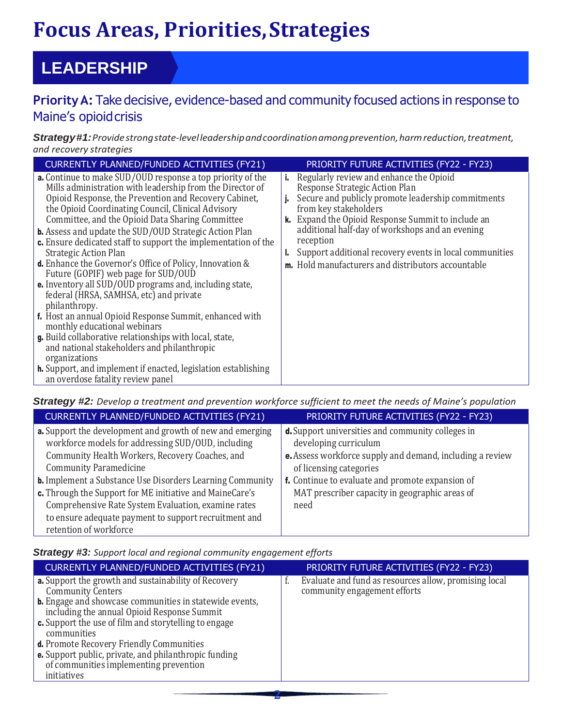# **Focus Areas, Priorities,Strategies**

## **LEADERSHIP**

## **PriorityA:** Take decisive, evidence-based and community focused actions in response to Maine's opioidcrisis

*Strategy#1:Providestrongstate-levelleadershipandcoordinationamongprevention,harmreduction,treatment, and recovery strategies*

| CURRENTLY PLANNED/FUNDED ACTIVITIES (FY21)                                                                                                                                                                                                                                                                                                                                                                                                                                                                                                                                     | PRIORITY FUTURE ACTIVITIES (FY22 - FY23)                                                                                                                                                                                                                                                                                                                                                                          |
|--------------------------------------------------------------------------------------------------------------------------------------------------------------------------------------------------------------------------------------------------------------------------------------------------------------------------------------------------------------------------------------------------------------------------------------------------------------------------------------------------------------------------------------------------------------------------------|-------------------------------------------------------------------------------------------------------------------------------------------------------------------------------------------------------------------------------------------------------------------------------------------------------------------------------------------------------------------------------------------------------------------|
| <b>a.</b> Continue to make SUD/OUD response a top priority of the<br>Mills administration with leadership from the Director of<br>Opioid Response, the Prevention and Recovery Cabinet,<br>the Opioid Coordinating Council, Clinical Advisory<br>Committee, and the Opioid Data Sharing Committee<br><b>b.</b> Assess and update the SUD/OUD Strategic Action Plan<br>c. Ensure dedicated staff to support the implementation of the<br><b>Strategic Action Plan</b><br><b>d.</b> Enhance the Governor's Office of Policy, Innovation &<br>Future (GOPIF) web page for SUD/OUD | Regularly review and enhance the Opioid<br>i.,<br>Response Strategic Action Plan<br>Secure and publicly promote leadership commitments<br>j.<br>from key stakeholders<br>k. Expand the Opioid Response Summit to include an<br>additional half-day of workshops and an evening<br>reception<br>Support additional recovery events in local communities<br>ь<br>m. Hold manufacturers and distributors accountable |
| <b>e.</b> Inventory all SUD/OUD programs and, including state,<br>federal (HRSA, SAMHSA, etc) and private<br>philanthropy.<br>f. Host an annual Opioid Response Summit, enhanced with<br>monthly educational webinars<br>g. Build collaborative relationships with local, state,<br>and national stakeholders and philanthropic<br>organizations<br><b>h.</b> Support, and implement if enacted, legislation establishing<br>an overdose fatality review panel                                                                                                                 |                                                                                                                                                                                                                                                                                                                                                                                                                   |

*Strategy #2: Develop a treatment and prevention workforce sufficient to meet the needs of Maine's population*

| CURRENTLY PLANNED/FUNDED ACTIVITIES (FY21)                       | PRIORITY FUTURE ACTIVITIES (FY22 - FY23)                         |
|------------------------------------------------------------------|------------------------------------------------------------------|
| a. Support the development and growth of new and emerging        | <b>d.</b> Support universities and community colleges in         |
| workforce models for addressing SUD/OUD, including               | developing curriculum                                            |
| Community Health Workers, Recovery Coaches, and                  | <b>e.</b> Assess workforce supply and demand, including a review |
| <b>Community Paramedicine</b>                                    | of licensing categories                                          |
| <b>b.</b> Implement a Substance Use Disorders Learning Community | f. Continue to evaluate and promote expansion of                 |
| c. Through the Support for ME initiative and MaineCare's         | MAT prescriber capacity in geographic areas of                   |
| Comprehensive Rate System Evaluation, examine rates              | need                                                             |
| to ensure adequate payment to support recruitment and            |                                                                  |
| retention of workforce                                           |                                                                  |

*Strategy #3: Support local and regional community engagement efforts*

| <b>CURRENTLY PLANNED/FUNDED ACTIVITIES (FY21)</b>                                                                                                                                                                                                                                                                                                                                                                                                            | PRIORITY FUTURE ACTIVITIES (FY22 - FY23)                                                    |
|--------------------------------------------------------------------------------------------------------------------------------------------------------------------------------------------------------------------------------------------------------------------------------------------------------------------------------------------------------------------------------------------------------------------------------------------------------------|---------------------------------------------------------------------------------------------|
| <b>a.</b> Support the growth and sustainability of Recovery<br><b>Community Centers</b><br><b>b.</b> Engage and showcase communities in statewide events,<br>including the annual Opioid Response Summit<br><b>c.</b> Support the use of film and storytelling to engage<br>communities<br>d. Promote Recovery Friendly Communities<br><b>e.</b> Support public, private, and philanthropic funding<br>of communities implementing prevention<br>initiatives | Evaluate and fund as resources allow, promising local<br>t.<br>community engagement efforts |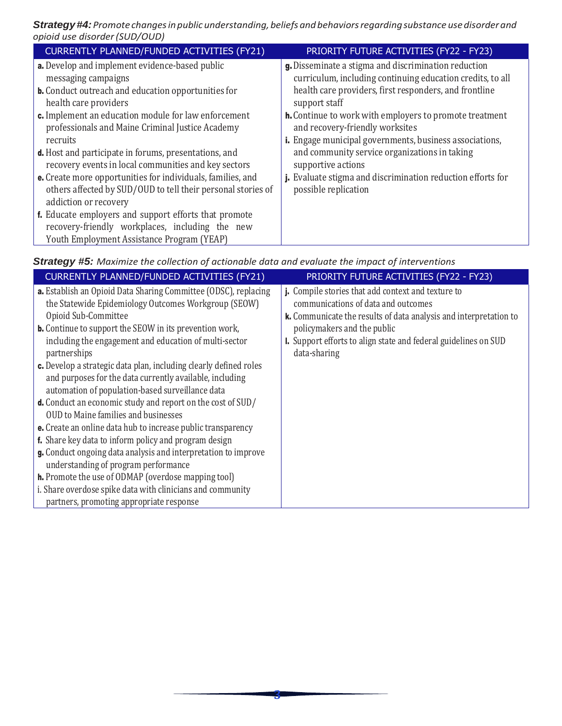*Strategy#4:Promote changesinpublic understanding,beliefs andbehaviorsregardingsubstance usedisorderand opioid use disorder(SUD/OUD)*

| CURRENTLY PLANNED/FUNDED ACTIVITIES (FY21)                                                                                                                    | PRIORITY FUTURE ACTIVITIES (FY22 - FY23)                                            |
|---------------------------------------------------------------------------------------------------------------------------------------------------------------|-------------------------------------------------------------------------------------|
| <b>a.</b> Develop and implement evidence-based public                                                                                                         | g. Disseminate a stigma and discrimination reduction                                |
| messaging campaigns                                                                                                                                           | curriculum, including continuing education credits, to all                          |
| <b>b.</b> Conduct outreach and education opportunities for                                                                                                    | health care providers, first responders, and frontline                              |
| health care providers                                                                                                                                         | support staff                                                                       |
| c. Implement an education module for law enforcement                                                                                                          | <b>h.</b> Continue to work with employers to promote treatment                      |
| professionals and Maine Criminal Justice Academy                                                                                                              | and recovery-friendly worksites                                                     |
| recruits                                                                                                                                                      | <i>i.</i> Engage municipal governments, business associations,                      |
| <b>d.</b> Host and participate in forums, presentations, and                                                                                                  | and community service organizations in taking                                       |
| recovery events in local communities and key sectors                                                                                                          | supportive actions                                                                  |
| <b>e.</b> Create more opportunities for individuals, families, and<br>others affected by SUD/OUD to tell their personal stories of<br>addiction or recovery   | j. Evaluate stigma and discrimination reduction efforts for<br>possible replication |
| <b>f.</b> Educate employers and support efforts that promote<br>recovery-friendly workplaces, including the new<br>Youth Employment Assistance Program (YEAP) |                                                                                     |

| CURRENTLY PLANNED/FUNDED ACTIVITIES (FY21)                                                                                                                                        | PRIORITY FUTURE ACTIVITIES (FY22 - FY23)                                                                                                                       |
|-----------------------------------------------------------------------------------------------------------------------------------------------------------------------------------|----------------------------------------------------------------------------------------------------------------------------------------------------------------|
| a. Establish an Opioid Data Sharing Committee (ODSC), replacing<br>the Statewide Epidemiology Outcomes Workgroup (SEOW)<br>Opioid Sub-Committee                                   | j. Compile stories that add context and texture to<br>communications of data and outcomes<br>k. Communicate the results of data analysis and interpretation to |
| <b>b.</b> Continue to support the SEOW in its prevention work,                                                                                                                    | policymakers and the public                                                                                                                                    |
| including the engagement and education of multi-sector<br>partnerships                                                                                                            | I. Support efforts to align state and federal guidelines on SUD<br>data-sharing                                                                                |
| c. Develop a strategic data plan, including clearly defined roles<br>and purposes for the data currently available, including<br>automation of population-based surveillance data |                                                                                                                                                                |
| d. Conduct an economic study and report on the cost of SUD/<br><b>OUD to Maine families and businesses</b>                                                                        |                                                                                                                                                                |
| <b>e.</b> Create an online data hub to increase public transparency                                                                                                               |                                                                                                                                                                |
|                                                                                                                                                                                   |                                                                                                                                                                |
| g. Conduct ongoing data analysis and interpretation to improve<br>understanding of program performance                                                                            |                                                                                                                                                                |
| <b>h.</b> Promote the use of ODMAP (overdose mapping tool)                                                                                                                        |                                                                                                                                                                |
| i. Share overdose spike data with clinicians and community                                                                                                                        |                                                                                                                                                                |
| f. Share key data to inform policy and program design<br>partners, promoting appropriate response                                                                                 |                                                                                                                                                                |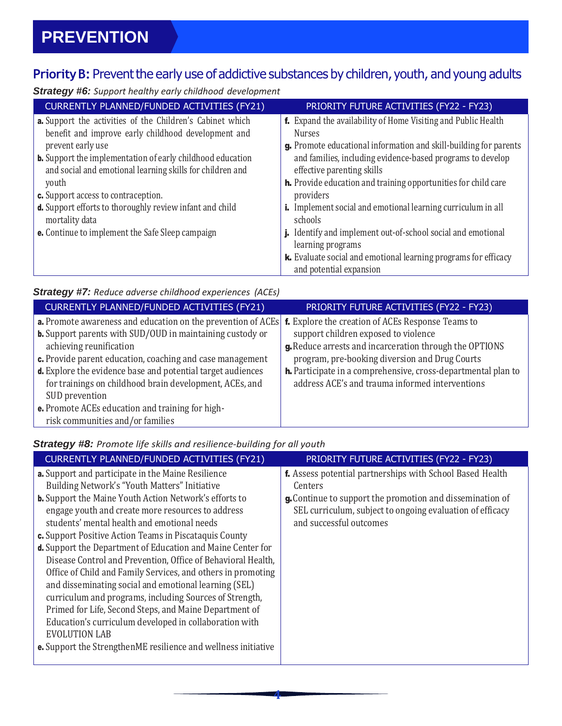## Priority B: Prevent the early use of addictive substances by children, youth, and young adults

*Strategy #6: Support healthy early childhood development*

| CURRENTLY PLANNED/FUNDED ACTIVITIES (FY21)                                                                                              | PRIORITY FUTURE ACTIVITIES (FY22 - FY23)                                                                                                                          |
|-----------------------------------------------------------------------------------------------------------------------------------------|-------------------------------------------------------------------------------------------------------------------------------------------------------------------|
| a. Support the activities of the Children's Cabinet which<br>benefit and improve early childhood development and<br>prevent early use   | f. Expand the availability of Home Visiting and Public Health<br><b>Nurses</b><br>g. Promote educational information and skill-building for parents               |
| <b>b.</b> Support the implementation of early childhood education<br>and social and emotional learning skills for children and<br>youth | and families, including evidence-based programs to develop<br>effective parenting skills<br><b>h.</b> Provide education and training opportunities for child care |
| <b>c.</b> Support access to contraception.                                                                                              | providers                                                                                                                                                         |
| d. Support efforts to thoroughly review infant and child<br>mortality data                                                              | <b>i.</b> Implement social and emotional learning curriculum in all<br>schools                                                                                    |
| <b>e.</b> Continue to implement the Safe Sleep campaign                                                                                 | Identify and implement out-of-school social and emotional<br>learning programs                                                                                    |
|                                                                                                                                         | k. Evaluate social and emotional learning programs for efficacy                                                                                                   |
|                                                                                                                                         | and potential expansion                                                                                                                                           |

#### *Strategy #7: Reduce adverse childhood experiences (ACEs)*

| CURRENTLY PLANNED/FUNDED ACTIVITIES (FY21)                                                                                                                                                                                                                                                                                                                                                                                    | PRIORITY FUTURE ACTIVITIES (FY22 - FY23)                                                                                                                                                                                                                              |
|-------------------------------------------------------------------------------------------------------------------------------------------------------------------------------------------------------------------------------------------------------------------------------------------------------------------------------------------------------------------------------------------------------------------------------|-----------------------------------------------------------------------------------------------------------------------------------------------------------------------------------------------------------------------------------------------------------------------|
| a. Promote awareness and education on the prevention of ACEs <b>f.</b> Explore the creation of ACEs Response Teams to<br><b>b.</b> Support parents with SUD/OUD in maintaining custody or<br>achieving reunification<br>c. Provide parent education, coaching and case management<br>d. Explore the evidence base and potential target audiences<br>for trainings on childhood brain development, ACEs, and<br>SUD prevention | support children exposed to violence<br>g. Reduce arrests and incarceration through the OPTIONS<br>program, pre-booking diversion and Drug Courts<br>h. Participate in a comprehensive, cross-departmental plan to<br>address ACE's and trauma informed interventions |
| e. Promote ACEs education and training for high-<br>risk communities and/or families                                                                                                                                                                                                                                                                                                                                          |                                                                                                                                                                                                                                                                       |
|                                                                                                                                                                                                                                                                                                                                                                                                                               |                                                                                                                                                                                                                                                                       |

#### *Strategy #8: Promote life skills and resilience-building for all youth*

| <b>CURRENTLY PLANNED/FUNDED ACTIVITIES (FY21)</b>                                                                                                                                                                                                                                                                                                                                                                                                                                                                                                                                                                                                                                                                                                                   | PRIORITY FUTURE ACTIVITIES (FY22 - FY23)                                                                                                          |
|---------------------------------------------------------------------------------------------------------------------------------------------------------------------------------------------------------------------------------------------------------------------------------------------------------------------------------------------------------------------------------------------------------------------------------------------------------------------------------------------------------------------------------------------------------------------------------------------------------------------------------------------------------------------------------------------------------------------------------------------------------------------|---------------------------------------------------------------------------------------------------------------------------------------------------|
| a. Support and participate in the Maine Resilience<br>Building Network's "Youth Matters" Initiative                                                                                                                                                                                                                                                                                                                                                                                                                                                                                                                                                                                                                                                                 | f. Assess potential partnerships with School Based Health<br>Centers                                                                              |
| <b>b.</b> Support the Maine Youth Action Network's efforts to<br>engage youth and create more resources to address<br>students' mental health and emotional needs<br>c. Support Positive Action Teams in Piscataquis County<br>d. Support the Department of Education and Maine Center for<br>Disease Control and Prevention, Office of Behavioral Health,<br>Office of Child and Family Services, and others in promoting<br>and disseminating social and emotional learning (SEL)<br>curriculum and programs, including Sources of Strength,<br>Primed for Life, Second Steps, and Maine Department of<br>Education's curriculum developed in collaboration with<br><b>EVOLUTION LAB</b><br><b>e.</b> Support the StrengthenME resilience and wellness initiative | g. Continue to support the promotion and dissemination of<br>SEL curriculum, subject to ongoing evaluation of efficacy<br>and successful outcomes |
|                                                                                                                                                                                                                                                                                                                                                                                                                                                                                                                                                                                                                                                                                                                                                                     |                                                                                                                                                   |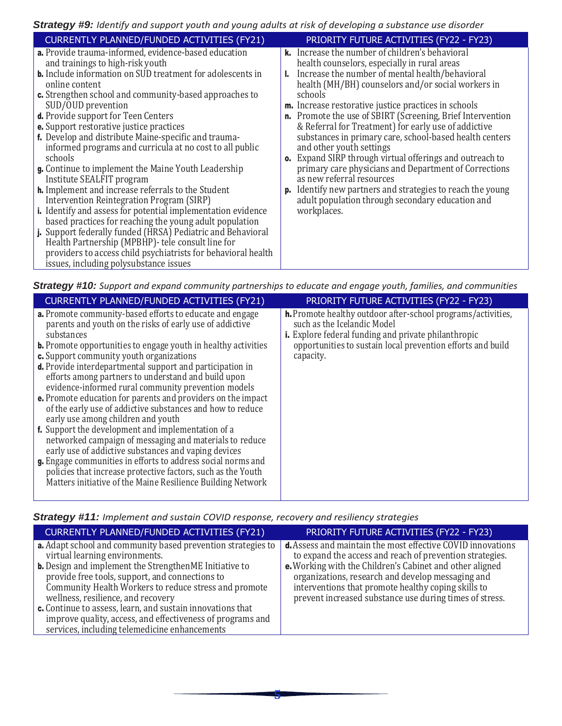#### *Strategy #9: Identify and support youth and young adults at risk of developing a substance use disorder*

| <b>CURRENTLY PLANNED/FUNDED ACTIVITIES (FY21)</b>                                                                                                                                  |    | PRIORITY FUTURE ACTIVITIES (FY22 - FY23)                                                                                             |
|------------------------------------------------------------------------------------------------------------------------------------------------------------------------------------|----|--------------------------------------------------------------------------------------------------------------------------------------|
| <b>a.</b> Provide trauma-informed, evidence-based education<br>and trainings to high-risk youth                                                                                    |    | <b>k.</b> Increase the number of children's behavioral<br>health counselors, especially in rural areas                               |
| <b>b.</b> Include information on SUD treatment for adolescents in<br>online content                                                                                                |    | Increase the number of mental health/behavioral<br>health (MH/BH) counselors and/or social workers in                                |
| c. Strengthen school and community-based approaches to<br>SUD/OUD prevention<br><b>d.</b> Provide support for Teen Centers                                                         |    | schools<br><b>m.</b> Increase restorative justice practices in schools<br>n. Promote the use of SBIRT (Screening, Brief Intervention |
| <b>e.</b> Support restorative justice practices<br>f. Develop and distribute Maine-specific and trauma-                                                                            |    | & Referral for Treatment) for early use of addictive<br>substances in primary care, school-based health centers                      |
| informed programs and curricula at no cost to all public<br>schools                                                                                                                |    | and other youth settings<br><b>o.</b> Expand SIRP through virtual offerings and outreach to                                          |
| g. Continue to implement the Maine Youth Leadership<br>Institute SEALFIT program                                                                                                   |    | primary care physicians and Department of Corrections<br>as new referral resources                                                   |
| <b>h.</b> Implement and increase referrals to the Student<br>Intervention Reintegration Program (SIRP)                                                                             | p. | Identify new partners and strategies to reach the young<br>adult population through secondary education and                          |
| <i>i.</i> Identify and assess for potential implementation evidence<br>based practices for reaching the young adult population                                                     |    | workplaces.                                                                                                                          |
| j. Support federally funded (HRSA) Pediatric and Behavioral<br>Health Partnership (MPBHP) - tele consult line for<br>providers to access child psychiatrists for behavioral health |    |                                                                                                                                      |
| issues, including polysubstance issues                                                                                                                                             |    |                                                                                                                                      |

| Strategy #10: Support and expand community partnerships to educate and engage youth, families, and communities |  |  |  |  |
|----------------------------------------------------------------------------------------------------------------|--|--|--|--|
|----------------------------------------------------------------------------------------------------------------|--|--|--|--|

| <b>CURRENTLY PLANNED/FUNDED ACTIVITIES (FY21)</b>                                                                                                                                                                                                                                                                                                                                                                                                                                                                                                                                                                                                                                                                                                                                                                                                                                                                                                                                                          | <b>PRIORITY FUTURE ACTIVITIES (FY22 - FY23)</b>                                                                                                                                                                                        |
|------------------------------------------------------------------------------------------------------------------------------------------------------------------------------------------------------------------------------------------------------------------------------------------------------------------------------------------------------------------------------------------------------------------------------------------------------------------------------------------------------------------------------------------------------------------------------------------------------------------------------------------------------------------------------------------------------------------------------------------------------------------------------------------------------------------------------------------------------------------------------------------------------------------------------------------------------------------------------------------------------------|----------------------------------------------------------------------------------------------------------------------------------------------------------------------------------------------------------------------------------------|
| <b>a.</b> Promote community-based efforts to educate and engage<br>parents and youth on the risks of early use of addictive<br>substances<br><b>b.</b> Promote opportunities to engage youth in healthy activities<br>c. Support community youth organizations<br><b>d.</b> Provide interdepartmental support and participation in<br>efforts among partners to understand and build upon<br>evidence-informed rural community prevention models<br><b>e.</b> Promote education for parents and providers on the impact<br>of the early use of addictive substances and how to reduce<br>early use among children and youth<br><b>f.</b> Support the development and implementation of a<br>networked campaign of messaging and materials to reduce<br>early use of addictive substances and vaping devices<br>g. Engage communities in efforts to address social norms and<br>policies that increase protective factors, such as the Youth<br>Matters initiative of the Maine Resilience Building Network | <b>h.</b> Promote healthy outdoor after-school programs/activities,<br>such as the Icelandic Model<br>i. Explore federal funding and private philanthropic<br>opportunities to sustain local prevention efforts and build<br>capacity. |

#### *Strategy #11: Implement and sustain COVID response, recovery and resiliency strategies*

| <b>CURRENTLY PLANNED/FUNDED ACTIVITIES (FY21)</b>                                                                                                                                                                                                                                                                                                                                            | PRIORITY FUTURE ACTIVITIES (FY22 - FY23)                                                                                                                                                                                        |
|----------------------------------------------------------------------------------------------------------------------------------------------------------------------------------------------------------------------------------------------------------------------------------------------------------------------------------------------------------------------------------------------|---------------------------------------------------------------------------------------------------------------------------------------------------------------------------------------------------------------------------------|
| <b>a.</b> Adapt school and community based prevention strategies to<br>virtual learning environments.                                                                                                                                                                                                                                                                                        | <b>d.</b> Assess and maintain the most effective COVID innovations<br>to expand the access and reach of prevention strategies.                                                                                                  |
| <b>b.</b> Design and implement the StrengthenME Initiative to<br>provide free tools, support, and connections to<br>Community Health Workers to reduce stress and promote<br>wellness, resilience, and recovery<br>c. Continue to assess, learn, and sustain innovations that<br>improve quality, access, and effectiveness of programs and<br>services, including telemedicine enhancements | e. Working with the Children's Cabinet and other aligned<br>organizations, research and develop messaging and<br>interventions that promote healthy coping skills to<br>prevent increased substance use during times of stress. |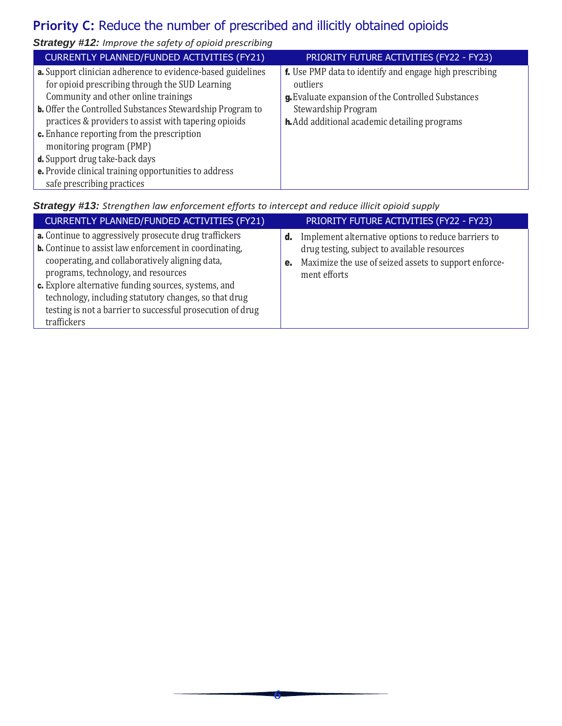## Priority C: Reduce the number of prescribed and illicitly obtained opioids

*Strategy #12: Improve the safety of opioid prescribing*

| <b>CURRENTLY PLANNED/FUNDED ACTIVITIES (FY21)</b>                | PRIORITY FUTURE ACTIVITIES (FY22 - FY23)                       |
|------------------------------------------------------------------|----------------------------------------------------------------|
| a. Support clinician adherence to evidence-based guidelines      | <b>f.</b> Use PMP data to identify and engage high prescribing |
| for opioid prescribing through the SUD Learning                  | outliers                                                       |
| Community and other online trainings                             | g. Evaluate expansion of the Controlled Substances             |
| <b>b.</b> Offer the Controlled Substances Stewardship Program to | Stewardship Program                                            |
| practices & providers to assist with tapering opioids            | h. Add additional academic detailing programs                  |
| c. Enhance reporting from the prescription                       |                                                                |
| monitoring program (PMP)                                         |                                                                |
| d. Support drug take-back days                                   |                                                                |
| e. Provide clinical training opportunities to address            |                                                                |
| safe prescribing practices                                       |                                                                |

*Strategy #13: Strengthen law enforcement efforts to intercept and reduce illicit opioid supply*

| <b>CURRENTLY PLANNED/FUNDED ACTIVITIES (FY21)</b>                                                                                                                                                                                                                                                                                                                                                               | PRIORITY FUTURE ACTIVITIES (FY22 - FY23)                                                                                                                                                 |
|-----------------------------------------------------------------------------------------------------------------------------------------------------------------------------------------------------------------------------------------------------------------------------------------------------------------------------------------------------------------------------------------------------------------|------------------------------------------------------------------------------------------------------------------------------------------------------------------------------------------|
| a. Continue to aggressively prosecute drug traffickers<br><b>b.</b> Continue to assist law enforcement in coordinating,<br>cooperating, and collaboratively aligning data,<br>programs, technology, and resources<br>c. Explore alternative funding sources, systems, and<br>technology, including statutory changes, so that drug<br>testing is not a barrier to successful prosecution of drug<br>traffickers | Implement alternative options to reduce barriers to<br>d.<br>drug testing, subject to available resources<br>Maximize the use of seized assets to support enforce-<br>e.<br>ment efforts |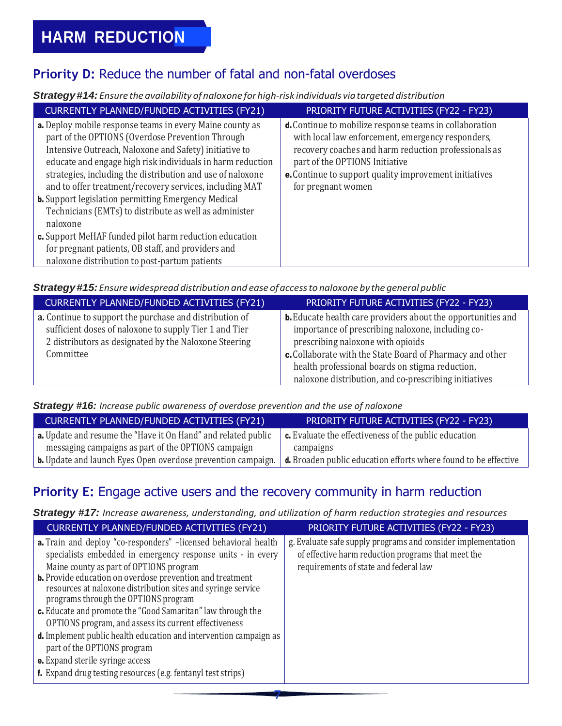## Priority D: Reduce the number of fatal and non-fatal overdoses

#### *Strategy#14: Ensure the availability ofnaloxone for high-risk individuals viatargeted distribution*

| CURRENTLY PLANNED/FUNDED ACTIVITIES (FY21)                                                                                                                                                                                                                                                                                                                                                                                                                                                                                                                                                                                                                                | PRIORITY FUTURE ACTIVITIES (FY22 - FY23)                                                                                                                                                                                                                                               |
|---------------------------------------------------------------------------------------------------------------------------------------------------------------------------------------------------------------------------------------------------------------------------------------------------------------------------------------------------------------------------------------------------------------------------------------------------------------------------------------------------------------------------------------------------------------------------------------------------------------------------------------------------------------------------|----------------------------------------------------------------------------------------------------------------------------------------------------------------------------------------------------------------------------------------------------------------------------------------|
| <b>a.</b> Deploy mobile response teams in every Maine county as<br>part of the OPTIONS (Overdose Prevention Through<br>Intensive Outreach, Naloxone and Safety) initiative to<br>educate and engage high risk individuals in harm reduction<br>strategies, including the distribution and use of naloxone<br>and to offer treatment/recovery services, including MAT<br><b>b.</b> Support legislation permitting Emergency Medical<br>Technicians (EMTs) to distribute as well as administer<br>naloxone<br>c. Support MeHAF funded pilot harm reduction education<br>for pregnant patients, OB staff, and providers and<br>naloxone distribution to post-partum patients | d. Continue to mobilize response teams in collaboration<br>with local law enforcement, emergency responders,<br>recovery coaches and harm reduction professionals as<br>part of the OPTIONS Initiative<br>e. Continue to support quality improvement initiatives<br>for pregnant women |

#### *Strategy#15: Ensurewidespread distribution and ease ofaccessto naloxone by the general public*

| CURRENTLY PLANNED/FUNDED ACTIVITIES (FY21)                                                                                                                                              | PRIORITY FUTURE ACTIVITIES (FY22 - FY23)                                                                                                                                                                                                                                      |
|-----------------------------------------------------------------------------------------------------------------------------------------------------------------------------------------|-------------------------------------------------------------------------------------------------------------------------------------------------------------------------------------------------------------------------------------------------------------------------------|
| a. Continue to support the purchase and distribution of<br>sufficient doses of naloxone to supply Tier 1 and Tier<br>2 distributors as designated by the Naloxone Steering<br>Committee | <b>b.</b> Educate health care providers about the opportunities and<br>importance of prescribing naloxone, including co-<br>prescribing naloxone with opioids<br>c. Collaborate with the State Board of Pharmacy and other<br>health professional boards on stigma reduction, |
|                                                                                                                                                                                         | naloxone distribution, and co-prescribing initiatives                                                                                                                                                                                                                         |

#### *Strategy #16: Increase public awareness of overdose prevention and the use of naloxone*

| <b>CURRENTLY PLANNED/FUNDED ACTIVITIES (FY21)</b>                    | <b>PRIORITY FUTURE ACTIVITIES (FY22 - FY23)</b>                 |
|----------------------------------------------------------------------|-----------------------------------------------------------------|
| <b>a.</b> Update and resume the "Have it On Hand" and related public | $\epsilon$ . Evaluate the effectiveness of the public education |
| messaging campaigns as part of the OPTIONS campaign                  | campaigns                                                       |
| <b>b.</b> Update and launch Eyes Open overdose prevention campaign.  | d. Broaden public education efforts where found to be effective |

## **Priority E:** Engage active users and the recovery community in harm reduction

*Strategy #17: Increase awareness, understanding, and utilization of harm reduction strategies and resources*

| <b>CURRENTLY PLANNED/FUNDED ACTIVITIES (FY21)</b>                                                                                                                                                                                                                                                                                                                                                                           | PRIORITY FUTURE ACTIVITIES (FY22 - FY23)                                                                                                                    |
|-----------------------------------------------------------------------------------------------------------------------------------------------------------------------------------------------------------------------------------------------------------------------------------------------------------------------------------------------------------------------------------------------------------------------------|-------------------------------------------------------------------------------------------------------------------------------------------------------------|
| <b>a.</b> Train and deploy "co-responders" -licensed behavioral health<br>specialists embedded in emergency response units - in every<br>Maine county as part of OPTIONS program<br><b>b.</b> Provide education on overdose prevention and treatment<br>resources at naloxone distribution sites and syringe service<br>programs through the OPTIONS program<br>c. Educate and promote the "Good Samaritan" law through the | g. Evaluate safe supply programs and consider implementation<br>of effective harm reduction programs that meet the<br>requirements of state and federal law |
| OPTIONS program, and assess its current effectiveness<br><b>d.</b> Implement public health education and intervention campaign as<br>part of the OPTIONS program<br>e. Expand sterile syringe access<br>f. Expand drug testing resources (e.g. fentanyl test strips)                                                                                                                                                        |                                                                                                                                                             |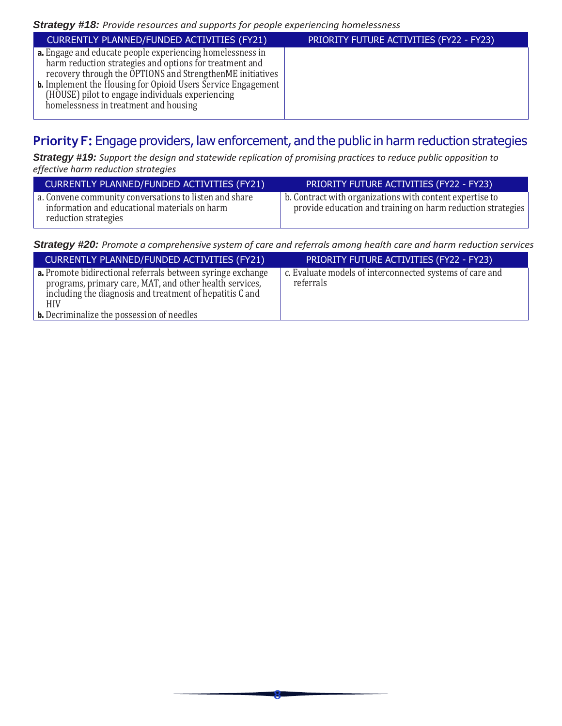| CURRENTLY PLANNED/FUNDED ACTIVITIES (FY21)                                                                                                                                                                                                                                                                                                            | PRIORITY FUTURE ACTIVITIES (FY22 - FY23) |
|-------------------------------------------------------------------------------------------------------------------------------------------------------------------------------------------------------------------------------------------------------------------------------------------------------------------------------------------------------|------------------------------------------|
| a. Engage and educate people experiencing homelessness in<br>harm reduction strategies and options for treatment and<br>recovery through the OPTIONS and StrengthenME initiatives<br><b>b.</b> Implement the Housing for Opioid Users Service Engagement<br>(HOUSE) pilot to engage individuals experiencing<br>homelessness in treatment and housing |                                          |

### **Priority F:** Engage providers, law enforcement, and the public in harm reduction strategies

*Strategy #19: Support the design and statewide replication of promising practices to reduce public opposition to effective harm reduction strategies*

| CURRENTLY PLANNED/FUNDED ACTIVITIES (FY21)                                                                                      | PRIORITY FUTURE ACTIVITIES (FY22 - FY23)                                                                                |
|---------------------------------------------------------------------------------------------------------------------------------|-------------------------------------------------------------------------------------------------------------------------|
| a. Convene community conversations to listen and share<br>information and educational materials on harm<br>reduction strategies | b. Contract with organizations with content expertise to<br>provide education and training on harm reduction strategies |

*Strategy #20: Promote a comprehensive system of care and referrals among health care and harm reduction services*

| <b>CURRENTLY PLANNED/FUNDED ACTIVITIES (FY21)</b>                                                                                                                                                                                                     | PRIORITY FUTURE ACTIVITIES (FY22 - FY23)                              |
|-------------------------------------------------------------------------------------------------------------------------------------------------------------------------------------------------------------------------------------------------------|-----------------------------------------------------------------------|
| <b>a.</b> Promote bidirectional referrals between syringe exchange<br>programs, primary care, MAT, and other health services,<br>including the diagnosis and treatment of hepatitis C and<br>HIV<br><b>b.</b> Decriminalize the possession of needles | c. Evaluate models of interconnected systems of care and<br>referrals |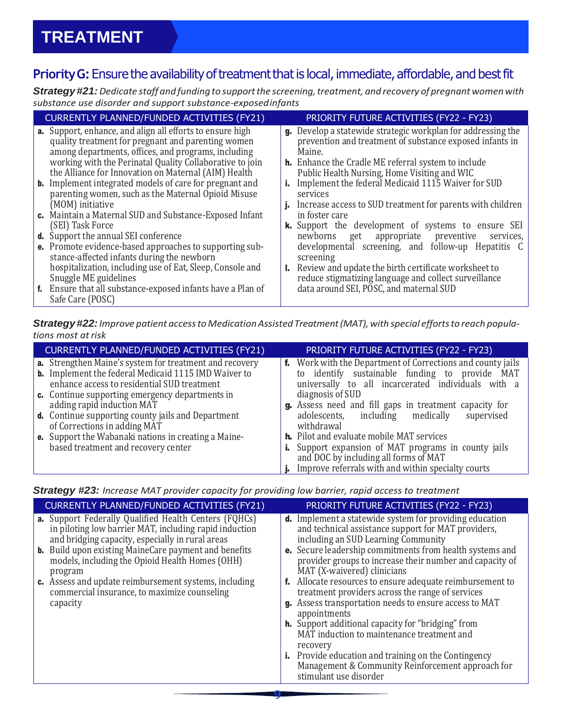## Priority G: Ensure the availability of treatment that is local, immediate, affordable, and best fit

*Strategy#21:Dedicate staff and fundingto supportthe screening,treatment, and recovery of pregnant womenwith substance use disorder and support substance-exposedinfants*

| <b>CURRENTLY PLANNED/FUNDED ACTIVITIES (FY21)</b>                                                                                                                                                                                                                                                                                                                                                                          |    | PRIORITY FUTURE ACTIVITIES (FY22 - FY23)                                                                                                                                                                                                                                                                                  |
|----------------------------------------------------------------------------------------------------------------------------------------------------------------------------------------------------------------------------------------------------------------------------------------------------------------------------------------------------------------------------------------------------------------------------|----|---------------------------------------------------------------------------------------------------------------------------------------------------------------------------------------------------------------------------------------------------------------------------------------------------------------------------|
| <b>a.</b> Support, enhance, and align all efforts to ensure high<br>quality treatment for pregnant and parenting women<br>among departments, offices, and programs, including<br>working with the Perinatal Quality Collaborative to join<br>the Alliance for Innovation on Maternal (AIM) Health<br><b>b.</b> Implement integrated models of care for pregnant and<br>parenting women, such as the Maternal Opioid Misuse | i. | <b>g.</b> Develop a statewide strategic workplan for addressing the<br>prevention and treatment of substance exposed infants in<br>Maine.<br><b>h.</b> Enhance the Cradle ME referral system to include<br>Public Health Nursing, Home Visiting and WIC<br>Implement the federal Medicaid 1115 Waiver for SUD<br>services |
| (MOM) initiative<br>c. Maintain a Maternal SUD and Substance-Exposed Infant<br>(SEI) Task Force                                                                                                                                                                                                                                                                                                                            |    | Increase access to SUD treatment for parents with children<br>in foster care<br>k. Support the development of systems to ensure SEI                                                                                                                                                                                       |
| <b>d.</b> Support the annual SEI conference<br>e. Promote evidence-based approaches to supporting sub-<br>stance-affected infants during the newborn                                                                                                                                                                                                                                                                       |    | get appropriate preventive<br>newborns<br>services,<br>developmental screening, and follow-up Hepatitis C<br>screening                                                                                                                                                                                                    |
| hospitalization, including use of Eat, Sleep, Console and<br>Snuggle ME guidelines<br>f. Ensure that all substance-exposed infants have a Plan of<br>Safe Care (POSC)                                                                                                                                                                                                                                                      | ь. | Review and update the birth certificate worksheet to<br>reduce stigmatizing language and collect surveillance<br>data around SEI, POSC, and maternal SUD                                                                                                                                                                  |

*Strategy#22:Improve patient accessto MedicationAssistedTreatment(MAT),with special effortsto reach populations most atrisk*

| CURRENTLY PLANNED/FUNDED ACTIVITIES (FY21)                                                                                    | PRIORITY FUTURE ACTIVITIES (FY22 - FY23)                                                             |
|-------------------------------------------------------------------------------------------------------------------------------|------------------------------------------------------------------------------------------------------|
| <b>a.</b> Strengthen Maine's system for treatment and recovery<br><b>b.</b> Implement the federal Medicaid 1115 IMD Waiver to | <b>f.</b> Work with the Department of Corrections and county jails                                   |
| enhance access to residential SUD treatment                                                                                   | to identify sustainable funding to provide MAT<br>universally to all incarcerated individuals with a |
| <b>c.</b> Continue supporting emergency departments in                                                                        | diagnosis of SUD                                                                                     |
| adding rapid induction MAT                                                                                                    | g. Assess need and fill gaps in treatment capacity for                                               |
| <b>d.</b> Continue supporting county jails and Department                                                                     | adolescents, including medically supervised                                                          |
| of Corrections in adding MAT                                                                                                  | withdrawal                                                                                           |
| <b>e.</b> Support the Wabanaki nations in creating a Maine-                                                                   | <b>h.</b> Pilot and evaluate mobile MAT services                                                     |
| based treatment and recovery center                                                                                           | <b>i.</b> Support expansion of MAT programs in county jails                                          |
|                                                                                                                               | and DOC by including all forms of MAT                                                                |
|                                                                                                                               | Improve referrals with and within specialty courts                                                   |

*Strategy #23: Increase MAT provider capacity for providing low barrier, rapid access to treatment*

| <b>CURRENTLY PLANNED/FUNDED ACTIVITIES (FY21)</b>                                                                                                                                                                                          | PRIORITY FUTURE ACTIVITIES (FY22 - FY23)                                                                                                                                                                                        |
|--------------------------------------------------------------------------------------------------------------------------------------------------------------------------------------------------------------------------------------------|---------------------------------------------------------------------------------------------------------------------------------------------------------------------------------------------------------------------------------|
| <b>a.</b> Support Federally Qualified Health Centers (FQHCs)<br>in piloting low barrier MAT, including rapid induction<br>and bridging capacity, especially in rural areas<br><b>b.</b> Build upon existing MaineCare payment and benefits | <b>d.</b> Implement a statewide system for providing education<br>and technical assistance support for MAT providers,<br>including an SUD Learning Community<br><b>e.</b> Secure leadership commitments from health systems and |
| models, including the Opioid Health Homes (OHH)<br>program                                                                                                                                                                                 | provider groups to increase their number and capacity of<br>MAT (X-waivered) clinicians                                                                                                                                         |
| <b>c.</b> Assess and update reimbursement systems, including<br>commercial insurance, to maximize counseling<br>capacity                                                                                                                   | f. Allocate resources to ensure adequate reimbursement to<br>treatment providers across the range of services<br>g. Assess transportation needs to ensure access to MAT<br>appointments                                         |
|                                                                                                                                                                                                                                            | <b>h.</b> Support additional capacity for "bridging" from<br>MAT induction to maintenance treatment and<br>recovery                                                                                                             |
|                                                                                                                                                                                                                                            | <b>i.</b> Provide education and training on the Contingency<br>Management & Community Reinforcement approach for<br>stimulant use disorder                                                                                      |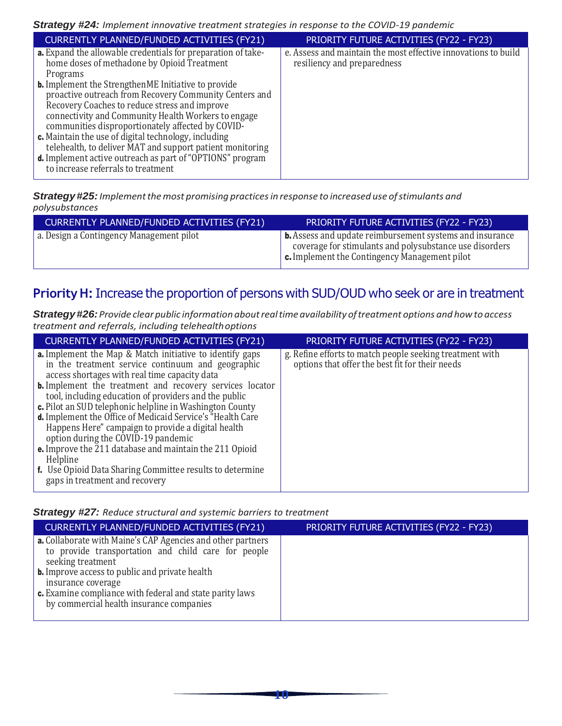| CURRENTLY PLANNED/FUNDED ACTIVITIES (FY21)                                                                                                                                                                                                                                                                                                                                                                                                                                                                                                                                                                                                  | PRIORITY FUTURE ACTIVITIES (FY22 - FY23)                                                      |
|---------------------------------------------------------------------------------------------------------------------------------------------------------------------------------------------------------------------------------------------------------------------------------------------------------------------------------------------------------------------------------------------------------------------------------------------------------------------------------------------------------------------------------------------------------------------------------------------------------------------------------------------|-----------------------------------------------------------------------------------------------|
| <b>a.</b> Expand the allowable credentials for preparation of take-<br>home doses of methadone by Opioid Treatment<br>Programs<br><b>b.</b> Implement the StrengthenME Initiative to provide<br>proactive outreach from Recovery Community Centers and<br>Recovery Coaches to reduce stress and improve<br>connectivity and Community Health Workers to engage<br>communities disproportionately affected by COVID-<br>c. Maintain the use of digital technology, including<br>telehealth, to deliver MAT and support patient monitoring<br>d. Implement active outreach as part of "OPTIONS" program<br>to increase referrals to treatment | e. Assess and maintain the most effective innovations to build<br>resiliency and preparedness |

*Strategy#25:Implementthemost promising practicesin response to increased use ofstimulants and polysubstances*

| CURRENTLY PLANNED/FUNDED ACTIVITIES (FY21) | PRIORITY FUTURE ACTIVITIES (FY22 - FY23)                                                                                                                                              |
|--------------------------------------------|---------------------------------------------------------------------------------------------------------------------------------------------------------------------------------------|
| a. Design a Contingency Management pilot   | <b>b.</b> Assess and update reimbursement systems and insurance<br>coverage for stimulants and polysubstance use disorders<br>$\epsilon$ . Implement the Contingency Management pilot |

## **PriorityH:** Increase the proportion of persons with SUD/OUD who seek or are in treatment

*Strategy#26:Provide clearpublic information aboutrealtime availability oftreatment options and howto access treatment and referrals, including telehealthoptions*

| CURRENTLY PLANNED/FUNDED ACTIVITIES (FY21)                                                                                                                                                                                                                                                                                                                                                                                                                                                                                                                                                                                                                                 | PRIORITY FUTURE ACTIVITIES (FY22 - FY23)                                                                    |
|----------------------------------------------------------------------------------------------------------------------------------------------------------------------------------------------------------------------------------------------------------------------------------------------------------------------------------------------------------------------------------------------------------------------------------------------------------------------------------------------------------------------------------------------------------------------------------------------------------------------------------------------------------------------------|-------------------------------------------------------------------------------------------------------------|
| <b>a.</b> Implement the Map & Match initiative to identify gaps<br>in the treatment service continuum and geographic<br>access shortages with real time capacity data<br><b>b.</b> Implement the treatment and recovery services locator<br>tool, including education of providers and the public<br>c. Pilot an SUD telephonic helpline in Washington County<br><b>d.</b> Implement the Office of Medicaid Service's "Health Care<br>Happens Here" campaign to provide a digital health<br>option during the COVID-19 pandemic<br><b>e.</b> Improve the 211 database and maintain the 211 Opioid<br>Helpline<br>f. Use Opioid Data Sharing Committee results to determine | g. Refine efforts to match people seeking treatment with<br>options that offer the best fit for their needs |
| gaps in treatment and recovery                                                                                                                                                                                                                                                                                                                                                                                                                                                                                                                                                                                                                                             |                                                                                                             |

*Strategy #27: Reduce structural and systemic barriers to treatment*

| CURRENTLY PLANNED/FUNDED ACTIVITIES (FY21)                                                                                                                                                                                                                                                                                     | PRIORITY FUTURE ACTIVITIES (FY22 - FY23) |
|--------------------------------------------------------------------------------------------------------------------------------------------------------------------------------------------------------------------------------------------------------------------------------------------------------------------------------|------------------------------------------|
| a. Collaborate with Maine's CAP Agencies and other partners<br>to provide transportation and child care for people<br>seeking treatment<br><b>b.</b> Improve access to public and private health<br>insurance coverage<br>c. Examine compliance with federal and state parity laws<br>by commercial health insurance companies |                                          |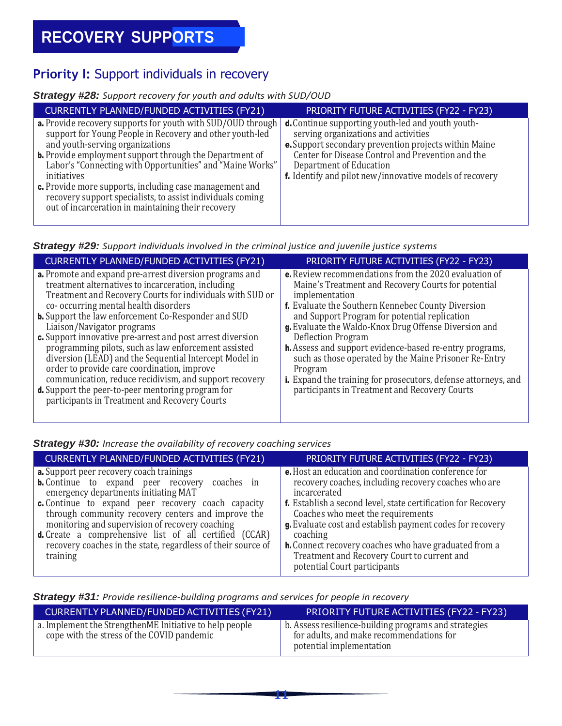## **Priority I:** Support individuals in recovery

#### *Strategy #28: Support recovery for youth and adults with SUD/OUD*

| CURRENTLY PLANNED/FUNDED ACTIVITIES (FY21)                                                                                                                                                                                                                                                                                                                                                                                                                                                                                                                      | PRIORITY FUTURE ACTIVITIES (FY22 - FY23)                                                                                                                                                                                                        |
|-----------------------------------------------------------------------------------------------------------------------------------------------------------------------------------------------------------------------------------------------------------------------------------------------------------------------------------------------------------------------------------------------------------------------------------------------------------------------------------------------------------------------------------------------------------------|-------------------------------------------------------------------------------------------------------------------------------------------------------------------------------------------------------------------------------------------------|
| <b>a.</b> Provide recovery supports for youth with SUD/OUD through $\vert$ <b>d.</b> Continue supporting youth-led and youth youth-<br>support for Young People in Recovery and other youth-led<br>and youth-serving organizations<br><b>b.</b> Provide employment support through the Department of<br>Labor's "Connecting with Opportunities" and "Maine Works"<br>initiatives<br>c. Provide more supports, including case management and<br>recovery support specialists, to assist individuals coming<br>out of incarceration in maintaining their recovery | serving organizations and activities<br><b>e.</b> Support secondary prevention projects within Maine<br>Center for Disease Control and Prevention and the<br>Department of Education<br>f. Identify and pilot new/innovative models of recovery |

#### *Strategy #29: Support individuals involved in the criminal justice and juvenile justice systems*

| CURRENTLY PLANNED/FUNDED ACTIVITIES (FY21)                                                                                                                                                                                                                                                                                                                                                                                                                                                                                                                                                                                                                                                                                   | PRIORITY FUTURE ACTIVITIES (FY22 - FY23)                                                                                                                                                                                                                                                                                                                                                                                                                                                                                                                                                    |
|------------------------------------------------------------------------------------------------------------------------------------------------------------------------------------------------------------------------------------------------------------------------------------------------------------------------------------------------------------------------------------------------------------------------------------------------------------------------------------------------------------------------------------------------------------------------------------------------------------------------------------------------------------------------------------------------------------------------------|---------------------------------------------------------------------------------------------------------------------------------------------------------------------------------------------------------------------------------------------------------------------------------------------------------------------------------------------------------------------------------------------------------------------------------------------------------------------------------------------------------------------------------------------------------------------------------------------|
| <b>a.</b> Promote and expand pre-arrest diversion programs and<br>treatment alternatives to incarceration, including<br>Treatment and Recovery Courts for individuals with SUD or<br>co- occurring mental health disorders<br><b>b.</b> Support the law enforcement Co-Responder and SUD<br>Liaison/Navigator programs<br>c. Support innovative pre-arrest and post arrest diversion<br>programming pilots, such as law enforcement assisted<br>diversion (LEAD) and the Sequential Intercept Model in<br>order to provide care coordination, improve<br>communication, reduce recidivism, and support recovery<br><b>d.</b> Support the peer-to-peer mentoring program for<br>participants in Treatment and Recovery Courts | <b>e.</b> Review recommendations from the 2020 evaluation of<br>Maine's Treatment and Recovery Courts for potential<br>implementation<br><b>f.</b> Evaluate the Southern Kennebec County Diversion<br>and Support Program for potential replication<br>g. Evaluate the Waldo-Knox Drug Offense Diversion and<br>Deflection Program<br><b>h.</b> Assess and support evidence-based re-entry programs,<br>such as those operated by the Maine Prisoner Re-Entry<br>Program<br>i. Expand the training for prosecutors, defense attorneys, and<br>participants in Treatment and Recovery Courts |

#### *Strategy #30: Increase the availability of recovery coaching services*

| <b>CURRENTLY PLANNED/FUNDED ACTIVITIES (FY21)</b>                                                                                                                                                                                                                                                                                                                                                                                                                   | PRIORITY FUTURE ACTIVITIES (FY22 - FY23)                                                                                                                                                                                                                                                                                                                                                                                                            |
|---------------------------------------------------------------------------------------------------------------------------------------------------------------------------------------------------------------------------------------------------------------------------------------------------------------------------------------------------------------------------------------------------------------------------------------------------------------------|-----------------------------------------------------------------------------------------------------------------------------------------------------------------------------------------------------------------------------------------------------------------------------------------------------------------------------------------------------------------------------------------------------------------------------------------------------|
| <b>a.</b> Support peer recovery coach trainings<br><b>b.</b> Continue to expand peer recovery coaches in<br>emergency departments initiating MAT<br><b>c.</b> Continue to expand peer recovery coach capacity<br>through community recovery centers and improve the<br>monitoring and supervision of recovery coaching<br><b>d.</b> Create a comprehensive list of all certified (CCAR)<br>recovery coaches in the state, regardless of their source of<br>training | e. Host an education and coordination conference for<br>recovery coaches, including recovery coaches who are<br>incarcerated<br>f. Establish a second level, state certification for Recovery<br>Coaches who meet the requirements<br>g. Evaluate cost and establish payment codes for recovery<br>coaching<br>h. Connect recovery coaches who have graduated from a<br>Treatment and Recovery Court to current and<br>potential Court participants |

#### *Strategy #31: Provide resilience-building programs and services for people in recovery*

| CURRENTLY PLANNED/FUNDED ACTIVITIES (FY21)                                                            | PRIORITY FUTURE ACTIVITIES (FY22 - FY23)                                                                                      |
|-------------------------------------------------------------------------------------------------------|-------------------------------------------------------------------------------------------------------------------------------|
| a. Implement the StrengthenME Initiative to help people<br>cope with the stress of the COVID pandemic | b. Assess resilience-building programs and strategies<br>for adults, and make recommendations for<br>potential implementation |